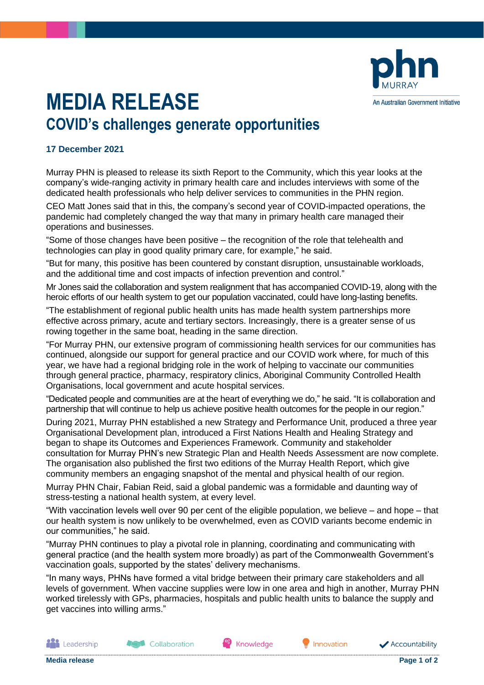

## **MEDIA RELEASE COVID's challenges generate opportunities**

## **17 December 2021**

Murray PHN is pleased to release its sixth Report to the Community, which this year looks at the company's wide-ranging activity in primary health care and includes interviews with some of the dedicated health professionals who help deliver services to communities in the PHN region.

CEO Matt Jones said that in this, the company's second year of COVID-impacted operations, the pandemic had completely changed the way that many in primary health care managed their operations and businesses.

"Some of those changes have been positive – the recognition of the role that telehealth and technologies can play in good quality primary care, for example," he said.

"But for many, this positive has been countered by constant disruption, unsustainable workloads, and the additional time and cost impacts of infection prevention and control."

Mr Jones said the collaboration and system realignment that has accompanied COVID-19, along with the heroic efforts of our health system to get our population vaccinated, could have long-lasting benefits.

"The establishment of regional public health units has made health system partnerships more effective across primary, acute and tertiary sectors. Increasingly, there is a greater sense of us rowing together in the same boat, heading in the same direction.

"For Murray PHN, our extensive program of commissioning health services for our communities has continued, alongside our support for general practice and our COVID work where, for much of this year, we have had a regional bridging role in the work of helping to vaccinate our communities through general practice, pharmacy, respiratory clinics, Aboriginal Community Controlled Health Organisations, local government and acute hospital services.

"Dedicated people and communities are at the heart of everything we do," he said. "It is collaboration and partnership that will continue to help us achieve positive health outcomes for the people in our region."

During 2021, Murray PHN established a new Strategy and Performance Unit, produced a three year Organisational Development plan, introduced a First Nations Health and Healing Strategy and began to shape its Outcomes and Experiences Framework. Community and stakeholder consultation for Murray PHN's new Strategic Plan and Health Needs Assessment are now complete. The organisation also published the first two editions of the Murray Health Report, which give community members an engaging snapshot of the mental and physical health of our region.

Murray PHN Chair, Fabian Reid, said a global pandemic was a formidable and daunting way of stress-testing a national health system, at every level.

"With vaccination levels well over 90 per cent of the eligible population, we believe – and hope – that our health system is now unlikely to be overwhelmed, even as COVID variants become endemic in our communities," he said.

"Murray PHN continues to play a pivotal role in planning, coordinating and communicating with general practice (and the health system more broadly) as part of the Commonwealth Government's vaccination goals, supported by the states' delivery mechanisms.

"In many ways, PHNs have formed a vital bridge between their primary care stakeholders and all levels of government. When vaccine supplies were low in one area and high in another, Murray PHN worked tirelessly with GPs, pharmacies, hospitals and public health units to balance the supply and get vaccines into willing arms."